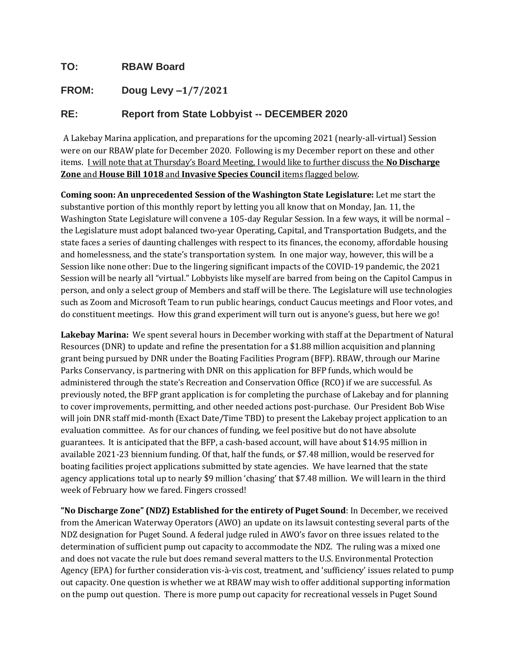## **TO: RBAW Board**

## **FROM: Doug Levy –1/7/2021**

## **RE: Report from State Lobbyist -- DECEMBER 2020**

A Lakebay Marina application, and preparations for the upcoming 2021 (nearly-all-virtual) Session were on our RBAW plate for December 2020. Following is my December report on these and other items. I will note that at Thursday's Board Meeting, I would like to further discuss the **No Discharge Zone** and **House Bill 1018** and **Invasive Species Council** items flagged below.

**Coming soon: An unprecedented Session of the Washington State Legislature:** Let me start the substantive portion of this monthly report by letting you all know that on Monday, Jan. 11, the Washington State Legislature will convene a 105-day Regular Session. In a few ways, it will be normal – the Legislature must adopt balanced two-year Operating, Capital, and Transportation Budgets, and the state faces a series of daunting challenges with respect to its finances, the economy, affordable housing and homelessness, and the state's transportation system. In one major way, however, this will be a Session like none other: Due to the lingering significant impacts of the COVID-19 pandemic, the 2021 Session will be nearly all "virtual." Lobbyists like myself are barred from being on the Capitol Campus in person, and only a select group of Members and staff will be there. The Legislature will use technologies such as Zoom and Microsoft Team to run public hearings, conduct Caucus meetings and Floor votes, and do constituent meetings. How this grand experiment will turn out is anyone's guess, but here we go!

**Lakebay Marina:** We spent several hours in December working with staff at the Department of Natural Resources (DNR) to update and refine the presentation for a \$1.88 million acquisition and planning grant being pursued by DNR under the Boating Facilities Program (BFP). RBAW, through our Marine Parks Conservancy, is partnering with DNR on this application for BFP funds, which would be administered through the state's Recreation and Conservation Office (RCO) if we are successful. As previously noted, the BFP grant application is for completing the purchase of Lakebay and for planning to cover improvements, permitting, and other needed actions post-purchase. Our President Bob Wise will join DNR staff mid-month (Exact Date/Time TBD) to present the Lakebay project application to an evaluation committee. As for our chances of funding, we feel positive but do not have absolute guarantees. It is anticipated that the BFP, a cash-based account, will have about \$14.95 million in available 2021-23 biennium funding. Of that, half the funds, or \$7.48 million, would be reserved for boating facilities project applications submitted by state agencies. We have learned that the state agency applications total up to nearly \$9 million 'chasing' that \$7.48 million. We will learn in the third week of February how we fared. Fingers crossed!

**"No Discharge Zone" (NDZ) Established for the entirety of Puget Sound**: In December, we received from the American Waterway Operators (AWO) an update on its lawsuit contesting several parts of the NDZ designation for Puget Sound. A federal judge ruled in AWO's favor on three issues related to the determination of sufficient pump out capacity to accommodate the NDZ. The ruling was a mixed one and does not vacate the rule but does remand several matters to the U.S. Environmental Protection Agency (EPA) for further consideration vis-à-vis cost, treatment, and 'sufficiency' issues related to pump out capacity. One question is whether we at RBAW may wish to offer additional supporting information on the pump out question. There is more pump out capacity for recreational vessels in Puget Sound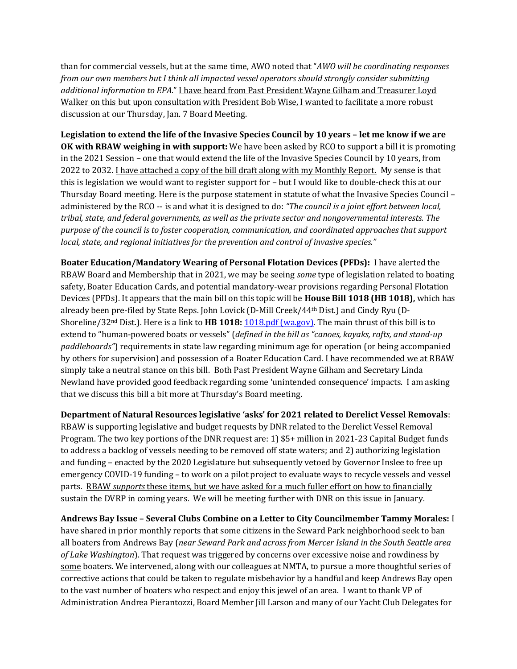than for commercial vessels, but at the same time, AWO noted that "*AWO will be coordinating responses from our own members but I think all impacted vessel operators should strongly consider submitting additional information to EPA*." I have heard from Past President Wayne Gilham and Treasurer Loyd Walker on this but upon consultation with President Bob Wise, I wanted to facilitate a more robust discussion at our Thursday, Jan. 7 Board Meeting.

**Legislation to extend the life of the Invasive Species Council by 10 years – let me know if we are OK with RBAW weighing in with support:** We have been asked by RCO to support a bill it is promoting in the 2021 Session – one that would extend the life of the Invasive Species Council by 10 years, from 2022 to 2032. I have attached a copy of the bill draft along with my Monthly Report. My sense is that this is legislation we would want to register support for – but I would like to double-check this at our Thursday Board meeting. Here is the purpose statement in statute of what the Invasive Species Council – administered by the RCO -- is and what it is designed to do: *"The council is a joint effort between local, tribal, state, and federal governments, as well as the private sector and nongovernmental interests. The purpose of the council is to foster cooperation, communication, and coordinated approaches that support local, state, and regional initiatives for the prevention and control of invasive species."* 

**Boater Education/Mandatory Wearing of Personal Flotation Devices (PFDs):** I have alerted the RBAW Board and Membership that in 2021, we may be seeing *some* type of legislation related to boating safety, Boater Education Cards, and potential mandatory-wear provisions regarding Personal Flotation Devices (PFDs). It appears that the main bill on this topic will be **House Bill 1018 (HB 1018),** which has already been pre-filed by State Reps. John Lovick (D-Mill Creek/44th Dist.) and Cindy Ryu (D-Shoreline/32nd Dist.). Here is a link to **HB 1018:** [1018.pdf \(wa.gov\).](http://lawfilesext.leg.wa.gov/biennium/2021-22/Pdf/Bills/House%20Bills/1018.pdf?q=20210105080852) The main thrust of this bill is to extend to "human-powered boats or vessels" (*defined in the bill as "canoes, kayaks, rafts, and stand-up paddleboards"*) requirements in state law regarding minimum age for operation (or being accompanied by others for supervision) and possession of a Boater Education Card. *I have recommended we at RBAW* simply take a neutral stance on this bill. Both Past President Wayne Gilham and Secretary Linda Newland have provided good feedback regarding some 'unintended consequence' impacts. I am asking that we discuss this bill a bit more at Thursday's Board meeting.

**Department of Natural Resources legislative 'asks' for 2021 related to Derelict Vessel Removals**: RBAW is supporting legislative and budget requests by DNR related to the Derelict Vessel Removal Program. The two key portions of the DNR request are: 1) \$5+ million in 2021-23 Capital Budget funds to address a backlog of vessels needing to be removed off state waters; and 2) authorizing legislation and funding – enacted by the 2020 Legislature but subsequently vetoed by Governor Inslee to free up emergency COVID-19 funding – to work on a pilot project to evaluate ways to recycle vessels and vessel parts. RBAW *supports* these items, but we have asked for a much fuller effort on how to financially sustain the DVRP in coming years. We will be meeting further with DNR on this issue in January.

**Andrews Bay Issue – Several Clubs Combine on a Letter to City Councilmember Tammy Morales:** I have shared in prior monthly reports that some citizens in the Seward Park neighborhood seek to ban all boaters from Andrews Bay (*near Seward Park and across from Mercer Island in the South Seattle area of Lake Washington*). That request was triggered by concerns over excessive noise and rowdiness by some boaters. We intervened, along with our colleagues at NMTA, to pursue a more thoughtful series of corrective actions that could be taken to regulate misbehavior by a handful and keep Andrews Bay open to the vast number of boaters who respect and enjoy this jewel of an area. I want to thank VP of Administration Andrea Pierantozzi, Board Member Jill Larson and many of our Yacht Club Delegates for